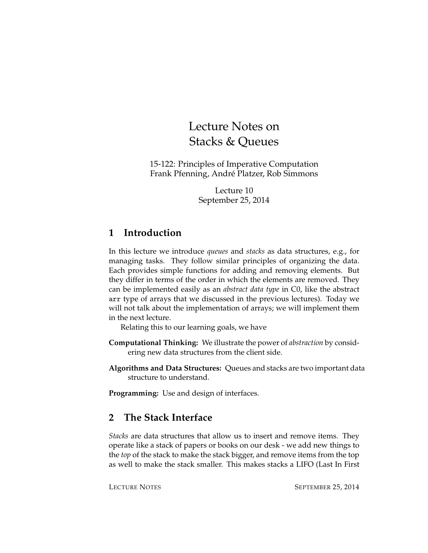# Lecture Notes on Stacks & Queues

15-122: Principles of Imperative Computation Frank Pfenning, André Platzer, Rob Simmons

> Lecture 10 September 25, 2014

# **1 Introduction**

In this lecture we introduce *queues* and *stacks* as data structures, e.g., for managing tasks. They follow similar principles of organizing the data. Each provides simple functions for adding and removing elements. But they differ in terms of the order in which the elements are removed. They can be implemented easily as an *abstract data type* in C0, like the abstract arr type of arrays that we discussed in the previous lectures). Today we will not talk about the implementation of arrays; we will implement them in the next lecture.

Relating this to our learning goals, we have

- **Computational Thinking:** We illustrate the power of *abstraction* by considering new data structures from the client side.
- **Algorithms and Data Structures:** Queues and stacks are two important data structure to understand.

**Programming:** Use and design of interfaces.

# **2 The Stack Interface**

*Stacks* are data structures that allow us to insert and remove items. They operate like a stack of papers or books on our desk - we add new things to the *top* of the stack to make the stack bigger, and remove items from the top as well to make the stack smaller. This makes stacks a LIFO (Last In First

LECTURE NOTES SEPTEMBER 25, 2014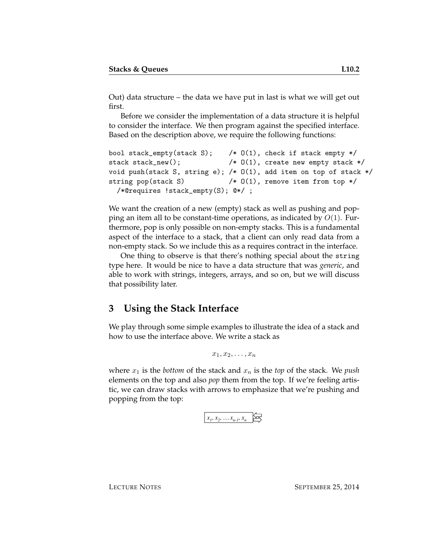Out) data structure – the data we have put in last is what we will get out first.

Before we consider the implementation of a data structure it is helpful to consider the interface. We then program against the specified interface. Based on the description above, we require the following functions:

```
bool stack_empty(stack S); /* O(1), check if stack empty */
stack stack_new(); /* O(1), create new empty stack */
void push(stack S, string e); /* O(1), add item on top of stack */
string pop(stack S) \frac{1}{2} /* 0(1), remove item from top */
  /*@requires !stack_empty(S); @*/ ;
```
We want the creation of a new (empty) stack as well as pushing and popping an item all to be constant-time operations, as indicated by  $O(1)$ . Furthermore, pop is only possible on non-empty stacks. This is a fundamental aspect of the interface to a stack, that a client can only read data from a non-empty stack. So we include this as a requires contract in the interface.

One thing to observe is that there's nothing special about the string type here. It would be nice to have a data structure that was *generic*, and able to work with strings, integers, arrays, and so on, but we will discuss that possibility later.

# **3 Using the Stack Interface**

We play through some simple examples to illustrate the idea of a stack and how to use the interface above. We write a stack as

 $x_1, x_2, \ldots, x_n$ 

where  $x_1$  is the *bottom* of the stack and  $x_n$  is the *top* of the stack. We *push* elements on the top and also *pop* them from the top. If we're feeling artistic, we can draw stacks with arrows to emphasize that we're pushing and popping from the top:

 $x_1, x_2, \ldots x_{n-l}, x_n$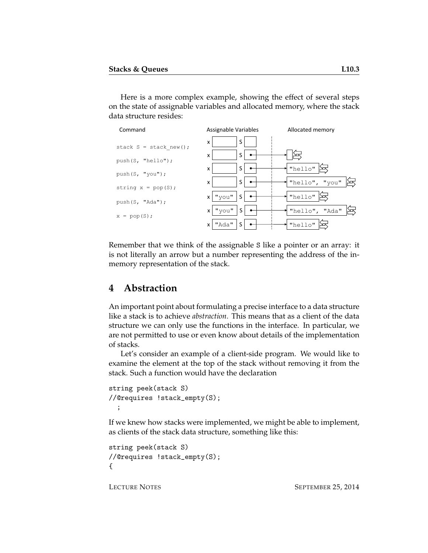Here is a more complex example, showing the effect of several steps on the state of assignable variables and allocated memory, where the stack data structure resides:



Remember that we think of the assignable S like a pointer or an array: it is not literally an arrow but a number representing the address of the inmemory representation of the stack.

#### **4 Abstraction**

An important point about formulating a precise interface to a data structure like a stack is to achieve *abstraction*. This means that as a client of the data structure we can only use the functions in the interface. In particular, we are not permitted to use or even know about details of the implementation of stacks.

Let's consider an example of a client-side program. We would like to examine the element at the top of the stack without removing it from the stack. Such a function would have the declaration

```
string peek(stack S)
//@requires !stack_empty(S);
  ;
```
If we knew how stacks were implemented, we might be able to implement, as clients of the stack data structure, something like this:

```
string peek(stack S)
//@requires !stack_empty(S);
{
```
LECTURE NOTES SEPTEMBER 25, 2014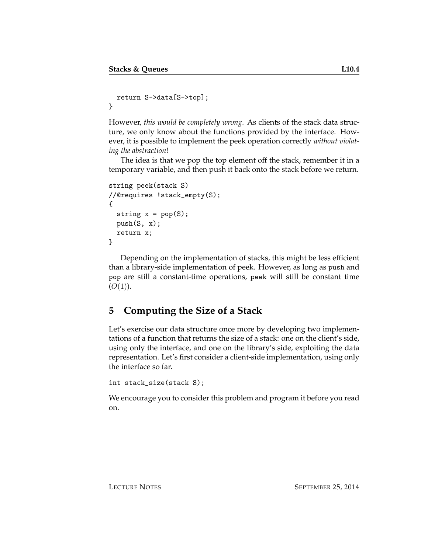```
return S->data[S->top];
}
```
However, *this would be completely wrong*. As clients of the stack data structure, we only know about the functions provided by the interface. However, it is possible to implement the peek operation correctly *without violating the abstraction*!

The idea is that we pop the top element off the stack, remember it in a temporary variable, and then push it back onto the stack before we return.

```
string peek(stack S)
//@requires !stack_empty(S);
{
  string x = pop(S);
 push(S, x);return x;
}
```
Depending on the implementation of stacks, this might be less efficient than a library-side implementation of peek. However, as long as push and pop are still a constant-time operations, peek will still be constant time  $(O(1)).$ 

# **5 Computing the Size of a Stack**

Let's exercise our data structure once more by developing two implementations of a function that returns the size of a stack: one on the client's side, using only the interface, and one on the library's side, exploiting the data representation. Let's first consider a client-side implementation, using only the interface so far.

```
int stack_size(stack S);
```
We encourage you to consider this problem and program it before you read on.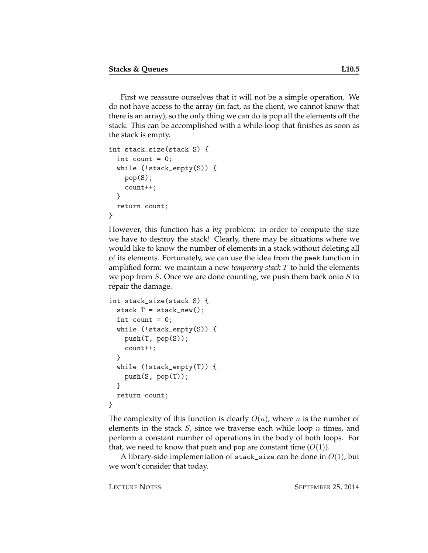First we reassure ourselves that it will not be a simple operation. We do not have access to the array (in fact, as the client, we cannot know that there is an array), so the only thing we can do is pop all the elements off the stack. This can be accomplished with a while-loop that finishes as soon as the stack is empty.

```
int stack_size(stack S) {
  int count = 0;
  while (!stack_empty(S)) {
    pop(S);
    count++;
  }
  return count;
}
```
However, this function has a *big* problem: in order to compute the size we have to destroy the stack! Clearly, there may be situations where we would like to know the number of elements in a stack without deleting all of its elements. Fortunately, we can use the idea from the peek function in amplified form: we maintain a new *temporary stack* T to hold the elements we pop from  $S$ . Once we are done counting, we push them back onto  $S$  to repair the damage.

```
int stack_size(stack S) {
  stack T = stack_new();
  int count = 0;
  while (!stack_empty(S)) {
    push(T, pop(S));
    count++;
  }
  while (!stack_empty(T)) {
    push(S, pop(T));
  }
  return count;
}
```
The complexity of this function is clearly  $O(n)$ , where n is the number of elements in the stack  $S$ , since we traverse each while loop  $n$  times, and perform a constant number of operations in the body of both loops. For that, we need to know that push and pop are constant time  $(O(1))$ .

A library-side implementation of stack\_size can be done in  $O(1)$ , but we won't consider that today.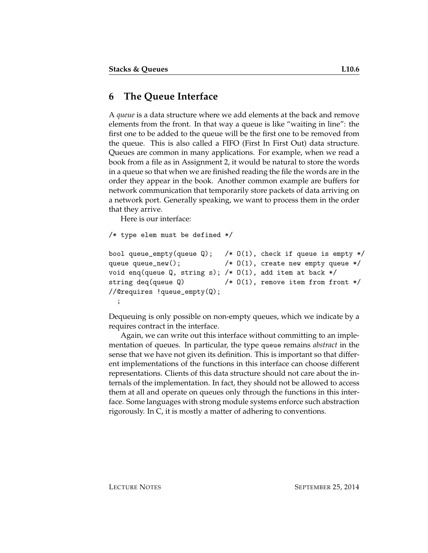### **6 The Queue Interface**

A *queue* is a data structure where we add elements at the back and remove elements from the front. In that way a queue is like "waiting in line": the first one to be added to the queue will be the first one to be removed from the queue. This is also called a FIFO (First In First Out) data structure. Queues are common in many applications. For example, when we read a book from a file as in Assignment 2, it would be natural to store the words in a queue so that when we are finished reading the file the words are in the order they appear in the book. Another common example are buffers for network communication that temporarily store packets of data arriving on a network port. Generally speaking, we want to process them in the order that they arrive.

Here is our interface:

```
/* type elem must be defined */
bool queue_empty(queue Q); /* O(1), check if queue is empty */queue queue_new(); \angle /* 0(1), create new empty queue */
void enq(queue Q, string s); /* 0(1), add item at back */string deq(queue Q) \qquad /* 0(1), remove item from front */
//@requires !queue_empty(Q);
  ;
```
Dequeuing is only possible on non-empty queues, which we indicate by a requires contract in the interface.

Again, we can write out this interface without committing to an implementation of queues. In particular, the type queue remains *abstract* in the sense that we have not given its definition. This is important so that different implementations of the functions in this interface can choose different representations. Clients of this data structure should not care about the internals of the implementation. In fact, they should not be allowed to access them at all and operate on queues only through the functions in this interface. Some languages with strong module systems enforce such abstraction rigorously. In C, it is mostly a matter of adhering to conventions.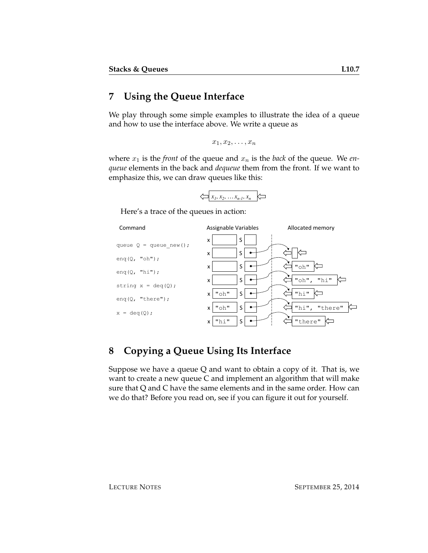# **7 Using the Queue Interface**

We play through some simple examples to illustrate the idea of a queue and how to use the interface above. We write a queue as

 $x_1, x_2, \ldots, x_n$ 

where  $x_1$  is the *front* of the queue and  $x_n$  is the *back* of the queue. We *enqueue* elements in the back and *dequeue* them from the front. If we want to emphasize this, we can draw queues like this:



Here's a trace of the queues in action:



# **8 Copying a Queue Using Its Interface**

Suppose we have a queue  $Q$  and want to obtain a copy of it. That is, we want to create a new queue C and implement an algorithm that will make sure that Q and C have the same elements and in the same order. How can we do that? Before you read on, see if you can figure it out for yourself.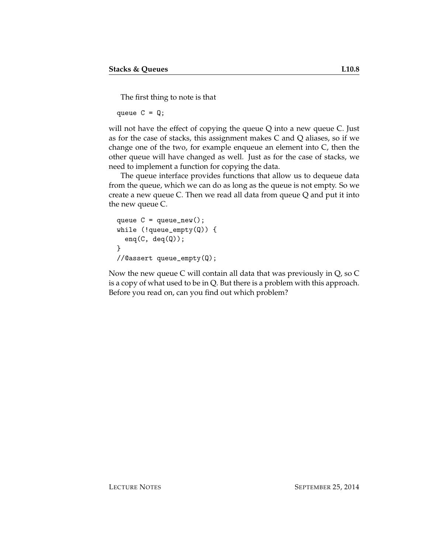The first thing to note is that

queue  $C = Q$ ;

will not have the effect of copying the queue Q into a new queue C. Just as for the case of stacks, this assignment makes C and Q aliases, so if we change one of the two, for example enqueue an element into C, then the other queue will have changed as well. Just as for the case of stacks, we need to implement a function for copying the data.

The queue interface provides functions that allow us to dequeue data from the queue, which we can do as long as the queue is not empty. So we create a new queue C. Then we read all data from queue Q and put it into the new queue C.

```
queue C = queue_new();
while (!queue_empty(Q)) {
  eng(C, deg(Q));
}
//@assert queue_empty(Q);
```
Now the new queue C will contain all data that was previously in Q, so C is a copy of what used to be in Q. But there is a problem with this approach. Before you read on, can you find out which problem?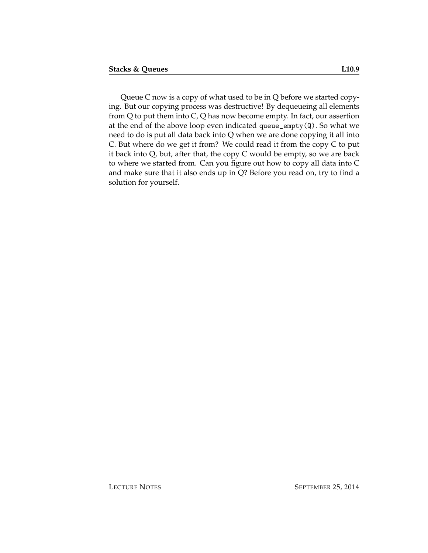Queue C now is a copy of what used to be in Q before we started copying. But our copying process was destructive! By dequeueing all elements from Q to put them into C, Q has now become empty. In fact, our assertion at the end of the above loop even indicated queue\_empty(Q). So what we need to do is put all data back into Q when we are done copying it all into C. But where do we get it from? We could read it from the copy C to put it back into Q, but, after that, the copy C would be empty, so we are back to where we started from. Can you figure out how to copy all data into C and make sure that it also ends up in Q? Before you read on, try to find a solution for yourself.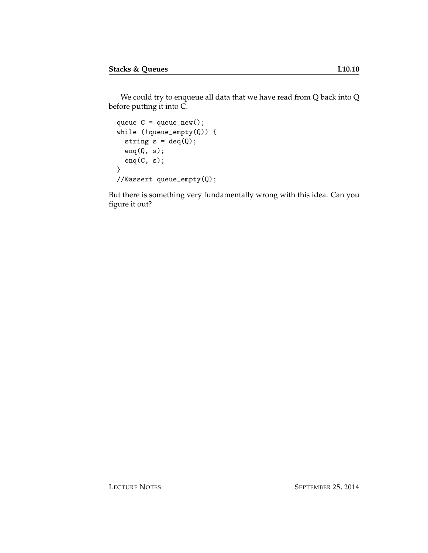We could try to enqueue all data that we have read from Q back into Q before putting it into C.

```
queue C = queue_new();
while (!queue_empty(Q)) {
 string s = deg(Q);
 enq(Q, s);enq(C, s);}
//@assert queue_empty(Q);
```
But there is something very fundamentally wrong with this idea. Can you figure it out?